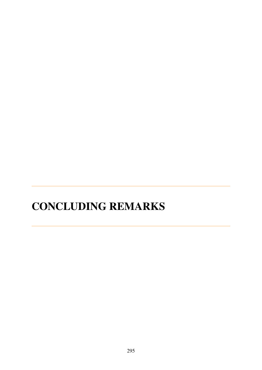## **CONCLUDING REMARKS**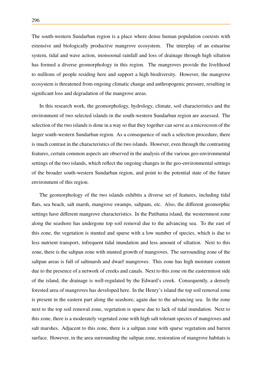The south-western Sundarban region is a place where dense human population coexists with extensive and biologically productive mangrove ecosystem. The interplay of an estuarine system, tidal and wave action, monsoonal rainfall and loss of drainage through high siltation has formed a diverse geomorphology in this region. The mangroves provide the livelihood to millions of people residing here and support a high biodiversity. However, the mangrove ecosystem is threatened from ongoing climatic change and anthropogenic pressure, resulting in significant loss and degradation of the mangrove areas.

In this research work, the geomorphology, hydrology, climate, soil characteristics and the environment of two selected islands in the south-western Sundarban region are assessed. The selection of the two islands is done in a way so that they together can serve as a microcosm of the larger south-western Sundarban region. As a consequence of such a selection procedure, there is much contrast in the characteristics of the two islands. However, even through the contrasting features, certain common aspects are observed in the analysis of the various geo-environmental settings of the two islands, which reflect the ongoing changes in the geo-environmental settings of the broader south-western Sundarban region, and point to the potential state of the future environment of this region.

The geomorphology of the two islands exhibits a diverse set of features, including tidal flats, sea beach, salt marsh, mangrove swamps, saltpans, etc. Also, the different geomorphic settings have different mangrove characteristics. In the Patibania island, the westernmost zone along the seashore has undergone top soil removal due to the advancing sea. To the east of this zone, the vegetation is stunted and sparse with a low number of species, which is due to less nutrient transport, infrequent tidal inundation and less amount of siltation. Next to this zone, there is the saltpan zone with stunted growth of mangroves. The surrounding zone of the saltpan areas is full of saltmarsh and dwarf mangroves. This zone has high moisture content due to the presence of a network of creeks and canals. Next to this zone on the easternmost side of the island, the drainage is well-regulated by the Edward's creek. Consequently, a densely forested area of mangroves has developed here. In the Henry's island the top soil removal zone is present in the eastern part along the seashore, again due to the advancing sea. In the zone next to the top soil removal zone, vegetation is sparse due to lack of tidal inundation. Next to this zone, there is a moderately vegetated zone with high salt tolerant species of mangroves and salt marshes. Adjacent to this zone, there is a saltpan zone with sparse vegetation and barren surface. However, in the area surrounding the saltpan zone, restoration of mangrove habitats is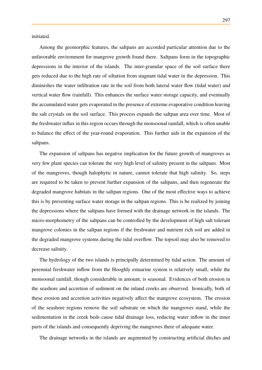initiated.

Among the geomorphic features, the saltpans are accorded particular attention due to the unfavorable environment for mangrove growth found there. Saltpans form in the topographic depressions in the interior of the islands. The inter-granular space of the soil surface there gets reduced due to the high rate of siltation from stagnant tidal water in the depression. This diminishes the water infiltration rate in the soil from both lateral water flow (tidal water) and vertical water flow (rainfall). This enhances the surface water storage capacity, and eventually the accumulated water gets evaporated in the presence of extreme evaporative condition leaving the salt crystals on the soil surface. This process expands the saltpan area over time. Most of the freshwater influx in this region occurs through the monsoonal rainfall, which is often unable to balance the effect of the year-round evaporation. This further aids in the expansion of the saltpans.

The expansion of saltpans has negative implication for the future growth of mangroves as very few plant species can tolerate the very high level of salinity present in the saltpans. Most of the mangroves, though halophytic in nature, cannot tolerate that high salinity. So, steps are required to be taken to prevent further expansion of the saltpans, and then regenerate the degraded mangrove habitats in the saltpan regions. One of the most effective ways to achieve this is by preventing surface water storage in the saltpan regions. This is be realized by joining the depressions where the saltpans have formed with the drainage network in the islands. The micro-morphometry of the saltpans can be controlled by the development of high salt tolerant mangrove colonies in the saltpan regions if the freshwater and nutrient rich soil are added in the degraded mangrove systems during the tidal overflow. The topsoil may also be removed to decrease salinity.

The hydrology of the two islands is principally determined by tidal action. The amount of perennial freshwater inflow from the Hooghly estuarine system is relatively small, while the monsoonal rainfall, though considerable in amount, is seasonal. Evidences of both erosion in the seashore and accretion of sediment on the inland creeks are observed. Ironically, both of these erosion and accretion activities negatively affect the mangrove ecosystem. The erosion of the seashore regions remove the soil substrate on which the mangroves stand, while the sedimentation in the creek beds cause tidal drainage loss, reducing water inflow in the inner parts of the islands and consequently depriving the mangroves there of adequate water.

The drainage networks in the islands are augmented by constructing artificial ditches and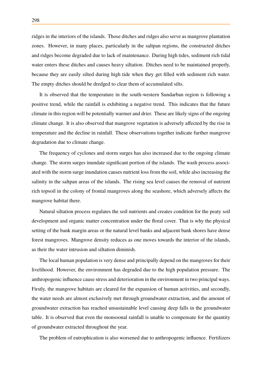ridges in the interiors of the islands. Those ditches and ridges also serve as mangrove plantation zones. However, in many places, particularly in the saltpan regions, the constructed ditches and ridges become degraded due to lack of maintenance. During high tides, sediment rich tidal water enters these ditches and causes heavy siltation. Ditches need to be maintained properly, because they are easily silted during high tide when they get filled with sediment rich water. The empty ditches should be dredged to clear them of accumulated silts.

It is observed that the temperature in the south-western Sundarban region is following a positive trend, while the rainfall is exhibiting a negative trend. This indicates that the future climate in this region will be potentially warmer and drier. These are likely signs of the ongoing climate change. It is also observed that mangrove vegetation is adversely affected by the rise in temperature and the decline in rainfall. These observations together indicate further mangrove degradation due to climate change.

The frequency of cyclones and storm surges has also increased due to the ongoing climate change. The storm surges inundate significant portion of the islands. The wash process associated with the storm surge inundation causes nutrient loss from the soil, while also increasing the salinity in the saltpan areas of the islands. The rising sea level causes the removal of nutrient rich topsoil in the colony of frontal mangroves along the seashore, which adversely affects the mangrove habitat there.

Natural siltation process regulates the soil nutrients and creates condition for the peaty soil development and organic matter concentration under the floral cover. That is why the physical setting of the bank margin areas or the natural level banks and adjacent bank shores have dense forest mangroves. Mangrove density reduces as one moves towards the interior of the islands, as their the water intrusion and siltation diminish.

The local human population is very dense and principally depend on the mangroves for their livelihood. However, the environment has degraded due to the high population pressure. The anthropogenic influence cause stress and deterioration in the environment in two principal ways. Firstly, the mangrove habitats are cleared for the expansion of human activities, and secondly, the water needs are almost exclusively met through groundwater extraction, and the amount of groundwater extraction has reached unsustainable level causing deep falls in the groundwater table. It is observed that even the monsoonal rainfall is unable to compensate for the quantity of groundwater extracted throughout the year.

The problem of eutrophication is also worsened due to anthropogenic influence. Fertilizers